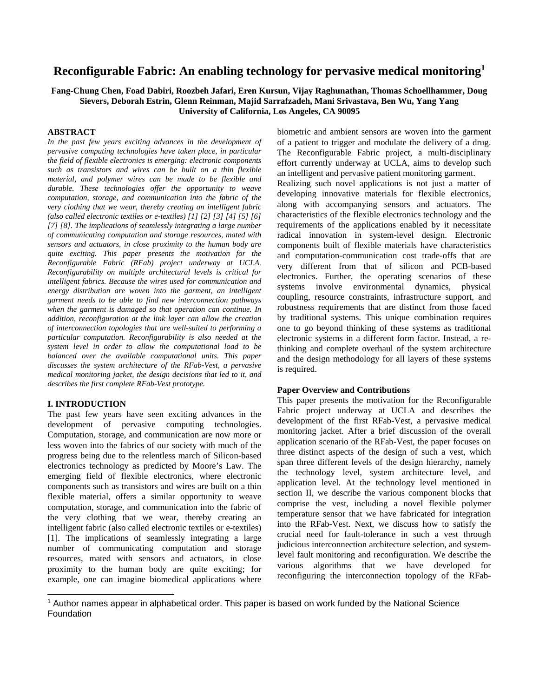# **Reconfigurable Fabric: An enabling technology for pervasive medical monitoring<sup>1</sup>**

**Fang-Chung Chen, Foad Dabiri, Roozbeh Jafari, Eren Kursun, Vijay Raghunathan, Thomas Schoellhammer, Doug Sievers, Deborah Estrin, Glenn Reinman, Majid Sarrafzadeh, Mani Srivastava, Ben Wu, Yang Yang University of California, Los Angeles, CA 90095**

#### **ABSTRACT**

*In the past few years exciting advances in the development of pervasive computing technologies have taken place, in particular the field of flexible electronics is emerging: electronic components such as transistors and wires can be built on a thin flexible material, and polymer wires can be made to be flexible and durable. These technologies offer the opportunity to weave computation, storage, and communication into the fabric of the very clothing that we wear, thereby creating an intelligent fabric (also called electronic textiles or e-textiles) [1] [2] [3] [4] [5] [6] [7] [8]. The implications of seamlessly integrating a large number of communicating computation and storage resources, mated with sensors and actuators, in close proximity to the human body are quite exciting. This paper presents the motivation for the Reconfigurable Fabric (RFab) project underway at UCLA. Reconfigurability on multiple architectural levels is critical for intelligent fabrics. Because the wires used for communication and energy distribution are woven into the garment, an intelligent garment needs to be able to find new interconnection pathways when the garment is damaged so that operation can continue. In addition, reconfiguration at the link layer can allow the creation of interconnection topologies that are well-suited to performing a particular computation. Reconfigurability is also needed at the system level in order to allow the computational load to be balanced over the available computational units. This paper discusses the system architecture of the RFab-Vest, a pervasive medical monitoring jacket, the design decisions that led to it, and describes the first complete RFab-Vest prototype.*

## **I. INTRODUCTION**

 $\overline{a}$ 

The past few years have seen exciting advances in the development of pervasive computing technologies. Computation, storage, and communication are now more or less woven into the fabrics of our society with much of the progress being due to the relentless march of Silicon-based electronics technology as predicted by Moore's Law. The emerging field of flexible electronics, where electronic components such as transistors and wires are built on a thin flexible material, offers a similar opportunity to weave computation, storage, and communication into the fabric of the very clothing that we wear, thereby creating an intelligent fabric (also called electronic textiles or e-textiles) [1]. The implications of seamlessly integrating a large number of communicating computation and storage resources, mated with sensors and actuators, in close proximity to the human body are quite exciting; for example, one can imagine biomedical applications where

biometric and ambient sensors are woven into the garment of a patient to trigger and modulate the delivery of a drug. The Reconfigurable Fabric project, a multi-disciplinary effort currently underway at UCLA, aims to develop such an intelligent and pervasive patient monitoring garment. Realizing such novel applications is not just a matter of developing innovative materials for flexible electronics, along with accompanying sensors and actuators. The characteristics of the flexible electronics technology and the requirements of the applications enabled by it necessitate radical innovation in system-level design. Electronic components built of flexible materials have characteristics and computation-communication cost trade-offs that are very different from that of silicon and PCB-based electronics. Further, the operating scenarios of these systems involve environmental dynamics, physical coupling, resource constraints, infrastructure support, and robustness requirements that are distinct from those faced by traditional systems. This unique combination requires one to go beyond thinking of these systems as traditional electronic systems in a different form factor. Instead, a rethinking and complete overhaul of the system architecture and the design methodology for all layers of these systems is required.

#### **Paper Overview and Contributions**

This paper presents the motivation for the Reconfigurable Fabric project underway at UCLA and describes the development of the first RFab-Vest, a pervasive medical monitoring jacket. After a brief discussion of the overall application scenario of the RFab-Vest, the paper focuses on three distinct aspects of the design of such a vest, which span three different levels of the design hierarchy, namely the technology level, system architecture level, and application level. At the technology level mentioned in section II, we describe the various component blocks that comprise the vest, including a novel flexible polymer temperature sensor that we have fabricated for integration into the RFab-Vest. Next, we discuss how to satisfy the crucial need for fault-tolerance in such a vest through judicious interconnection architecture selection, and systemlevel fault monitoring and reconfiguration. We describe the various algorithms that we have developed for reconfiguring the interconnection topology of the RFab-

<sup>1</sup> Author names appear in alphabetical order. This paper is based on work funded by the National Science Foundation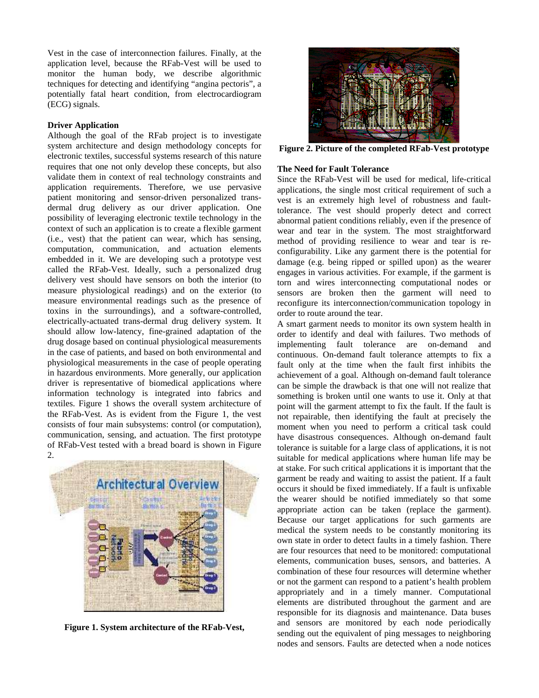Vest in the case of interconnection failures. Finally, at the application level, because the RFab-Vest will be used to monitor the human body, we describe algorithmic techniques for detecting and identifying "angina pectoris", a potentially fatal heart condition, from electrocardiogram (ECG) signals.

# **Driver Application**

Although the goal of the RFab project is to investigate system architecture and design methodology concepts for electronic textiles, successful systems research of this nature requires that one not only develop these concepts, but also validate them in context of real technology constraints and application requirements. Therefore, we use pervasive patient monitoring and sensor-driven personalized transdermal drug delivery as our driver application. One possibility of leveraging electronic textile technology in the context of such an application is to create a flexible garment (i.e., vest) that the patient can wear, which has sensing, computation, communication, and actuation elements embedded in it. We are developing such a prototype vest called the RFab-Vest. Ideally, such a personalized drug delivery vest should have sensors on both the interior (to measure physiological readings) and on the exterior (to measure environmental readings such as the presence of toxins in the surroundings), and a software-controlled, electrically-actuated trans-dermal drug delivery system. It should allow low-latency, fine-grained adaptation of the drug dosage based on continual physiological measurements in the case of patients, and based on both environmental and physiological measurements in the case of people operating in hazardous environments. More generally, our application driver is representative of biomedical applications where information technology is integrated into fabrics and textiles. Figure 1 shows the overall system architecture of the RFab-Vest. As is evident from the Figure 1, the vest consists of four main subsystems: control (or computation), communication, sensing, and actuation. The first prototype of RFab-Vest tested with a bread board is shown in Figure 2.



**Figure 1. System architecture of the RFab-Vest,**



**Figure 2. Picture of the completed RFab-Vest prototype**

# **The Need for Fault Tolerance**

Since the RFab-Vest will be used for medical, life-critical applications, the single most critical requirement of such a vest is an extremely high level of robustness and faulttolerance. The vest should properly detect and correct abnormal patient conditions reliably, even if the presence of wear and tear in the system. The most straightforward method of providing resilience to wear and tear is reconfigurability. Like any garment there is the potential for damage (e.g. being ripped or spilled upon) as the wearer engages in various activities. For example, if the garment is torn and wires interconnecting computational nodes or sensors are broken then the garment will need to reconfigure its interconnection/communication topology in order to route around the tear.

A smart garment needs to monitor its own system health in order to identify and deal with failures. Two methods of implementing fault tolerance are on-demand and continuous. On-demand fault tolerance attempts to fix a fault only at the time when the fault first inhibits the achievement of a goal. Although on-demand fault tolerance can be simple the drawback is that one will not realize that something is broken until one wants to use it. Only at that point will the garment attempt to fix the fault. If the fault is not repairable, then identifying the fault at precisely the moment when you need to perform a critical task could have disastrous consequences. Although on-demand fault tolerance is suitable for a large class of applications, it is not suitable for medical applications where human life may be at stake. For such critical applications it is important that the garment be ready and waiting to assist the patient. If a fault occurs it should be fixed immediately. If a fault is unfixable the wearer should be notified immediately so that some appropriate action can be taken (replace the garment). Because our target applications for such garments are medical the system needs to be constantly monitoring its own state in order to detect faults in a timely fashion. There are four resources that need to be monitored: computational elements, communication buses, sensors, and batteries. A combination of these four resources will determine whether or not the garment can respond to a patient's health problem appropriately and in a timely manner. Computational elements are distributed throughout the garment and are responsible for its diagnosis and maintenance. Data buses and sensors are monitored by each node periodically sending out the equivalent of ping messages to neighboring nodes and sensors. Faults are detected when a node notices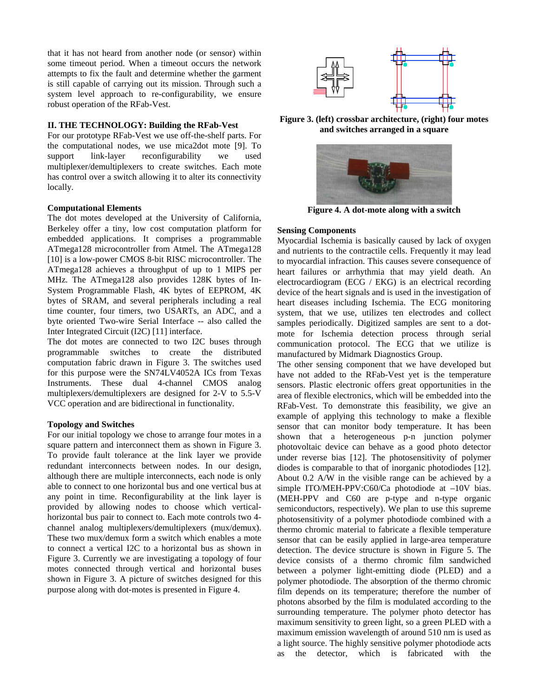that it has not heard from another node (or sensor) within some timeout period. When a timeout occurs the network attempts to fix the fault and determine whether the garment is still capable of carrying out its mission. Through such a system level approach to re-configurability, we ensure robust operation of the RFab-Vest.

### **II. THE TECHNOLOGY: Building the RFab-Vest**

For our prototype RFab-Vest we use off-the-shelf parts. For the computational nodes, we use mica2dot mote [9]. To support link-layer reconfigurability we used multiplexer/demultiplexers to create switches. Each mote has control over a switch allowing it to alter its connectivity locally.

# **Computational Elements**

The dot motes developed at the University of California, Berkeley offer a tiny, low cost computation platform for embedded applications. It comprises a programmable ATmega128 microcontroller from Atmel. The ATmega128 [10] is a low-power CMOS 8-bit RISC microcontroller. The ATmega128 achieves a throughput of up to 1 MIPS per MHz. The ATmega128 also provides 128K bytes of In-System Programmable Flash, 4K bytes of EEPROM, 4K bytes of SRAM, and several peripherals including a real time counter, four timers, two USARTs, an ADC, and a byte oriented Two-wire Serial Interface -- also called the Inter Integrated Circuit (I2C) [11] interface.

The dot motes are connected to two I2C buses through programmable switches to create the distributed computation fabric drawn in Figure 3. The switches used for this purpose were the SN74LV4052A ICs from Texas Instruments. These dual 4-channel CMOS analog multiplexers/demultiplexers are designed for 2-V to 5.5-V VCC operation and are bidirectional in functionality.

## **Topology and Switches**

For our initial topology we chose to arrange four motes in a square pattern and interconnect them as shown in Figure 3. To provide fault tolerance at the link layer we provide redundant interconnects between nodes. In our design, although there are multiple interconnects, each node is only able to connect to one horizontal bus and one vertical bus at any point in time. Reconfigurability at the link layer is provided by allowing nodes to choose which verticalhorizontal bus pair to connect to. Each mote controls two 4 channel analog multiplexers/demultiplexers (mux/demux). These two mux/demux form a switch which enables a mote to connect a vertical I2C to a horizontal bus as shown in Figure 3. Currently we are investigating a topology of four motes connected through vertical and horizontal buses shown in Figure 3. A picture of switches designed for this purpose along with dot-motes is presented in Figure 4.



**Figure 3. (left) crossbar architecture, (right) four motes and switches arranged in a square**



**Figure 4. A dot-mote along with a switch**

## **Sensing Components**

Myocardial Ischemia is basically caused by lack of oxygen and nutrients to the contractile cells. Frequently it may lead to myocardial infraction. This causes severe consequence of heart failures or arrhythmia that may yield death. An electrocardiogram (ECG / EKG) is an electrical recording device of the heart signals and is used in the investigation of heart diseases including Ischemia. The ECG monitoring system, that we use, utilizes ten electrodes and collect samples periodically. Digitized samples are sent to a dotmote for Ischemia detection process through serial communication protocol. The ECG that we utilize is manufactured by Midmark Diagnostics Group.

The other sensing component that we have developed but have not added to the RFab-Vest yet is the temperature sensors. Plastic electronic offers great opportunities in the area of flexible electronics, which will be embedded into the RFab-Vest. To demonstrate this feasibility, we give an example of applying this technology to make a flexible sensor that can monitor body temperature. It has been shown that a heterogeneous p-n junction polymer photovoltaic device can behave as a good photo detector under reverse bias [12]. The photosensitivity of polymer diodes is comparable to that of inorganic photodiodes [12]. About 0.2 A/W in the visible range can be achieved by a simple ITO/MEH-PPV:C60/Ca photodiode at –10V bias. (MEH-PPV and C60 are p-type and n-type organic semiconductors, respectively). We plan to use this supreme photosensitivity of a polymer photodiode combined with a thermo chromic material to fabricate a flexible temperature sensor that can be easily applied in large-area temperature detection. The device structure is shown in Figure 5. The device consists of a thermo chromic film sandwiched between a polymer light-emitting diode (PLED) and a polymer photodiode. The absorption of the thermo chromic film depends on its temperature; therefore the number of photons absorbed by the film is modulated according to the surrounding temperature. The polymer photo detector has maximum sensitivity to green light, so a green PLED with a maximum emission wavelength of around 510 nm is used as a light source. The highly sensitive polymer photodiode acts as the detector, which is fabricated with the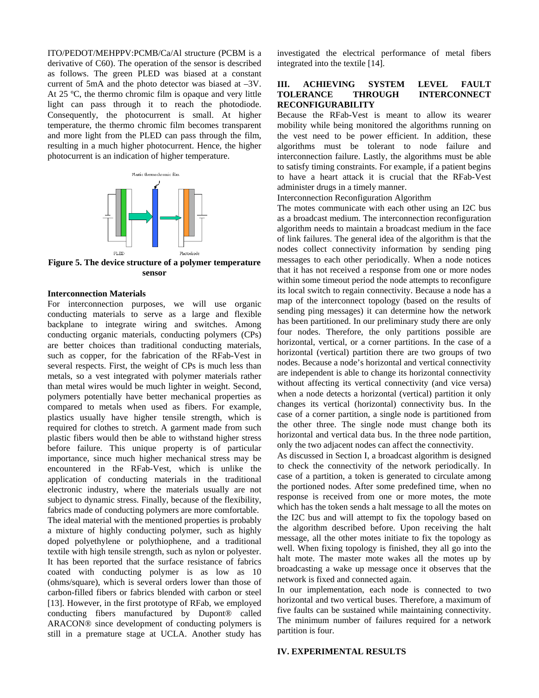ITO/PEDOT/MEHPPV:PCMB/Ca/Al structure (PCBM is a derivative of C60). The operation of the sensor is described as follows. The green PLED was biased at a constant current of 5mA and the photo detector was biased at –3V. At 25 ºC, the thermo chromic film is opaque and very little light can pass through it to reach the photodiode. Consequently, the photocurrent is small. At higher temperature, the thermo chromic film becomes transparent and more light from the PLED can pass through the film, resulting in a much higher photocurrent. Hence, the higher photocurrent is an indication of higher temperature.



**Figure 5. The device structure of a polymer temperature sensor**

#### **Interconnection Materials**

For interconnection purposes, we will use organic conducting materials to serve as a large and flexible backplane to integrate wiring and switches. Among conducting organic materials, conducting polymers (CPs) are better choices than traditional conducting materials, such as copper, for the fabrication of the RFab-Vest in several respects. First, the weight of CPs is much less than metals, so a vest integrated with polymer materials rather than metal wires would be much lighter in weight. Second, polymers potentially have better mechanical properties as compared to metals when used as fibers. For example, plastics usually have higher tensile strength, which is required for clothes to stretch. A garment made from such plastic fibers would then be able to withstand higher stress before failure. This unique property is of particular importance, since much higher mechanical stress may be encountered in the RFab-Vest, which is unlike the application of conducting materials in the traditional electronic industry, where the materials usually are not subject to dynamic stress. Finally, because of the flexibility, fabrics made of conducting polymers are more comfortable. The ideal material with the mentioned properties is probably a mixture of highly conducting polymer, such as highly doped polyethylene or polythiophene, and a traditional textile with high tensile strength, such as nylon or polyester. It has been reported that the surface resistance of fabrics coated with conducting polymer is as low as 10 (ohms/square), which is several orders lower than those of carbon-filled fibers or fabrics blended with carbon or steel [13]. However, in the first prototype of RFab, we employed conducting fibers manufactured by Dupont® called ARACON® since development of conducting polymers is still in a premature stage at UCLA. Another study has

investigated the electrical performance of metal fibers integrated into the textile [14].

# **III. ACHIEVING SYSTEM LEVEL FAULT TOLERANCE THROUGH INTERCONNECT RECONFIGURABILITY**

Because the RFab-Vest is meant to allow its wearer mobility while being monitored the algorithms running on the vest need to be power efficient. In addition, these algorithms must be tolerant to node failure and interconnection failure. Lastly, the algorithms must be able to satisfy timing constraints. For example, if a patient begins to have a heart attack it is crucial that the RFab-Vest administer drugs in a timely manner.

Interconnection Reconfiguration Algorithm

The motes communicate with each other using an I2C bus as a broadcast medium. The interconnection reconfiguration algorithm needs to maintain a broadcast medium in the face of link failures. The general idea of the algorithm is that the nodes collect connectivity information by sending ping messages to each other periodically. When a node notices that it has not received a response from one or more nodes within some timeout period the node attempts to reconfigure its local switch to regain connectivity. Because a node has a map of the interconnect topology (based on the results of sending ping messages) it can determine how the network has been partitioned. In our preliminary study there are only four nodes. Therefore, the only partitions possible are horizontal, vertical, or a corner partitions. In the case of a horizontal (vertical) partition there are two groups of two nodes. Because a node's horizontal and vertical connectivity are independent is able to change its horizontal connectivity without affecting its vertical connectivity (and vice versa) when a node detects a horizontal (vertical) partition it only changes its vertical (horizontal) connectivity bus. In the case of a corner partition, a single node is partitioned from the other three. The single node must change both its horizontal and vertical data bus. In the three node partition, only the two adjacent nodes can affect the connectivity.

As discussed in Section I, a broadcast algorithm is designed to check the connectivity of the network periodically. In case of a partition, a token is generated to circulate among the portioned nodes. After some predefined time, when no response is received from one or more motes, the mote which has the token sends a halt message to all the motes on the I2C bus and will attempt to fix the topology based on the algorithm described before. Upon receiving the halt message, all the other motes initiate to fix the topology as well. When fixing topology is finished, they all go into the halt mote. The master mote wakes all the motes up by broadcasting a wake up message once it observes that the network is fixed and connected again.

In our implementation, each node is connected to two horizontal and two vertical buses. Therefore, a maximum of five faults can be sustained while maintaining connectivity. The minimum number of failures required for a network partition is four.

#### **IV. EXPERIMENTAL RESULTS**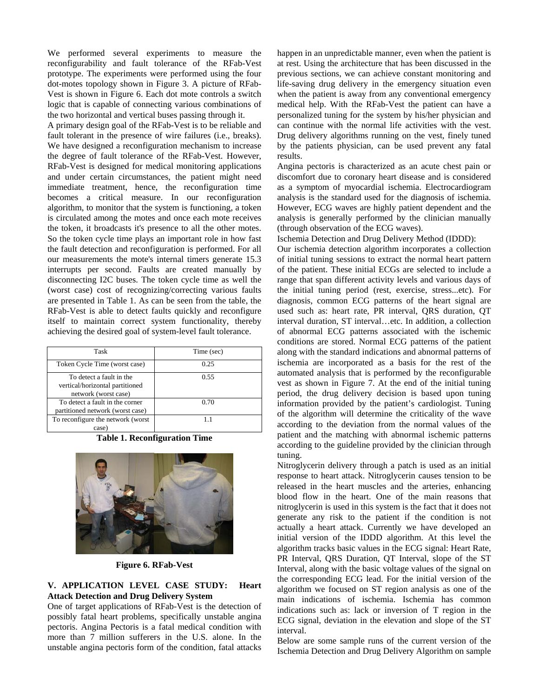We performed several experiments to measure the reconfigurability and fault tolerance of the RFab-Vest prototype. The experiments were performed using the four dot-motes topology shown in Figure 3. A picture of RFab-Vest is shown in Figure 6. Each dot mote controls a switch logic that is capable of connecting various combinations of the two horizontal and vertical buses passing through it.

A primary design goal of the RFab-Vest is to be reliable and fault tolerant in the presence of wire failures (i.e., breaks). We have designed a reconfiguration mechanism to increase the degree of fault tolerance of the RFab-Vest. However, RFab-Vest is designed for medical monitoring applications and under certain circumstances, the patient might need immediate treatment, hence, the reconfiguration time becomes a critical measure. In our reconfiguration algorithm, to monitor that the system is functioning, a token is circulated among the motes and once each mote receives the token, it broadcasts it's presence to all the other motes. So the token cycle time plays an important role in how fast the fault detection and reconfiguration is performed. For all our measurements the mote's internal timers generate 15.3 interrupts per second. Faults are created manually by disconnecting I2C buses. The token cycle time as well the (worst case) cost of recognizing/correcting various faults are presented in Table 1. As can be seen from the table, the RFab-Vest is able to detect faults quickly and reconfigure itself to maintain correct system functionality, thereby achieving the desired goal of system-level fault tolerance.

| Task                                                                                | Time (sec) |
|-------------------------------------------------------------------------------------|------------|
| Token Cycle Time (worst case)                                                       | 0.25       |
| To detect a fault in the<br>vertical/horizontal partitioned<br>network (worst case) | 0.55       |
| To detect a fault in the corner<br>partitioned network (worst case)                 | 0.70       |
| To reconfigure the network (worst)<br>case)                                         | 11         |

**Table 1. Reconfiguration Time**



**Figure 6. RFab-Vest**

# **V. APPLICATION LEVEL CASE STUDY: Heart Attack Detection and Drug Delivery System**

One of target applications of RFab-Vest is the detection of possibly fatal heart problems, specifically unstable angina pectoris. Angina Pectoris is a fatal medical condition with more than 7 million sufferers in the U.S. alone. In the unstable angina pectoris form of the condition, fatal attacks

happen in an unpredictable manner, even when the patient is at rest. Using the architecture that has been discussed in the previous sections, we can achieve constant monitoring and life-saving drug delivery in the emergency situation even when the patient is away from any conventional emergency medical help. With the RFab-Vest the patient can have a personalized tuning for the system by his/her physician and can continue with the normal life activities with the vest. Drug delivery algorithms running on the vest, finely tuned by the patients physician, can be used prevent any fatal results.

Angina pectoris is characterized as an acute chest pain or discomfort due to coronary heart disease and is considered as a symptom of myocardial ischemia. Electrocardiogram analysis is the standard used for the diagnosis of ischemia. However, ECG waves are highly patient dependent and the analysis is generally performed by the clinician manually (through observation of the ECG waves).

Ischemia Detection and Drug Delivery Method (IDDD):

Our ischemia detection algorithm incorporates a collection of initial tuning sessions to extract the normal heart pattern of the patient. These initial ECGs are selected to include a range that span different activity levels and various days of the initial tuning period (rest, exercise, stress...etc). For diagnosis, common ECG patterns of the heart signal are used such as: heart rate, PR interval, QRS duration, QT interval duration, ST interval…etc. In addition, a collection of abnormal ECG patterns associated with the ischemic conditions are stored. Normal ECG patterns of the patient along with the standard indications and abnormal patterns of ischemia are incorporated as a basis for the rest of the automated analysis that is performed by the reconfigurable vest as shown in Figure 7. At the end of the initial tuning period, the drug delivery decision is based upon tuning information provided by the patient's cardiologist. Tuning of the algorithm will determine the criticality of the wave according to the deviation from the normal values of the patient and the matching with abnormal ischemic patterns according to the guideline provided by the clinician through tuning.

Nitroglycerin delivery through a patch is used as an initial response to heart attack. Nitroglycerin causes tension to be released in the heart muscles and the arteries, enhancing blood flow in the heart. One of the main reasons that nitroglycerin is used in this system is the fact that it does not generate any risk to the patient if the condition is not actually a heart attack. Currently we have developed an initial version of the IDDD algorithm. At this level the algorithm tracks basic values in the ECG signal: Heart Rate, PR Interval, QRS Duration, QT Interval, slope of the ST Interval, along with the basic voltage values of the signal on the corresponding ECG lead. For the initial version of the algorithm we focused on ST region analysis as one of the main indications of ischemia. Ischemia has common indications such as: lack or inversion of T region in the ECG signal, deviation in the elevation and slope of the ST interval.

Below are some sample runs of the current version of the Ischemia Detection and Drug Delivery Algorithm on sample